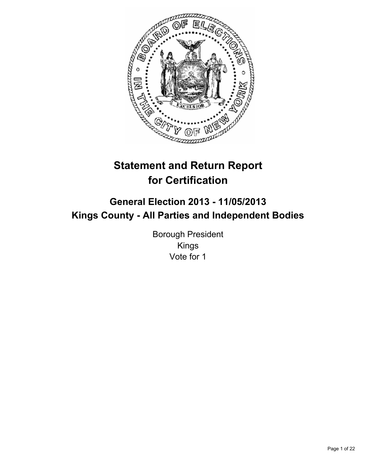

# **Statement and Return Report for Certification**

# **General Election 2013 - 11/05/2013 Kings County - All Parties and Independent Bodies**

Borough President Kings Vote for 1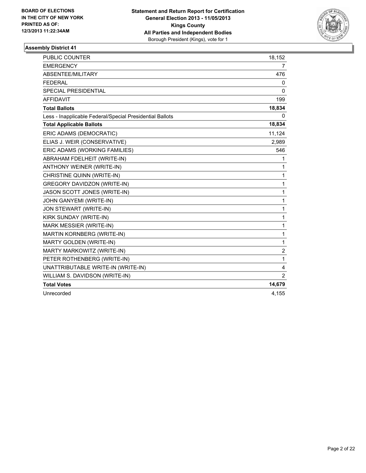

| <b>PUBLIC COUNTER</b>                                    | 18,152         |
|----------------------------------------------------------|----------------|
| <b>EMERGENCY</b>                                         | $\overline{7}$ |
| ABSENTEE/MILITARY                                        | 476            |
| <b>FEDERAL</b>                                           | 0              |
| <b>SPECIAL PRESIDENTIAL</b>                              | 0              |
| <b>AFFIDAVIT</b>                                         | 199            |
| <b>Total Ballots</b>                                     | 18,834         |
| Less - Inapplicable Federal/Special Presidential Ballots | 0              |
| <b>Total Applicable Ballots</b>                          | 18,834         |
| ERIC ADAMS (DEMOCRATIC)                                  | 11,124         |
| ELIAS J. WEIR (CONSERVATIVE)                             | 2,989          |
| ERIC ADAMS (WORKING FAMILIES)                            | 546            |
| ABRAHAM FDELHEIT (WRITE-IN)                              | 1              |
| ANTHONY WEINER (WRITE-IN)                                | 1              |
| CHRISTINE QUINN (WRITE-IN)                               | 1              |
| <b>GREGORY DAVIDZON (WRITE-IN)</b>                       | $\mathbf{1}$   |
| JASON SCOTT JONES (WRITE-IN)                             | 1              |
| JOHN GANYEMI (WRITE-IN)                                  | $\mathbf{1}$   |
| JON STEWART (WRITE-IN)                                   | $\mathbf{1}$   |
| KIRK SUNDAY (WRITE-IN)                                   | $\mathbf{1}$   |
| MARK MESSIER (WRITE-IN)                                  | $\mathbf{1}$   |
| MARTIN KORNBERG (WRITE-IN)                               | 1              |
| <b>MARTY GOLDEN (WRITE-IN)</b>                           | $\mathbf{1}$   |
| MARTY MARKOWITZ (WRITE-IN)                               | $\overline{2}$ |
| PETER ROTHENBERG (WRITE-IN)                              | 1              |
| UNATTRIBUTABLE WRITE-IN (WRITE-IN)                       | 4              |
| WILLIAM S. DAVIDSON (WRITE-IN)                           | $\overline{2}$ |
| <b>Total Votes</b>                                       | 14,679         |
| Unrecorded                                               | 4,155          |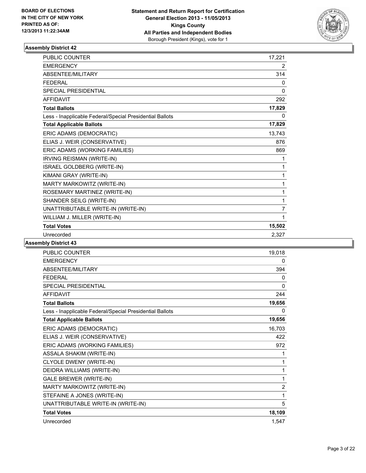

| <b>PUBLIC COUNTER</b>                                    | 17,221 |
|----------------------------------------------------------|--------|
| <b>EMERGENCY</b>                                         | 2      |
| ABSENTEE/MILITARY                                        | 314    |
| <b>FEDERAL</b>                                           | 0      |
| <b>SPECIAL PRESIDENTIAL</b>                              | 0      |
| <b>AFFIDAVIT</b>                                         | 292    |
| <b>Total Ballots</b>                                     | 17,829 |
| Less - Inapplicable Federal/Special Presidential Ballots | 0      |
| <b>Total Applicable Ballots</b>                          | 17,829 |
| ERIC ADAMS (DEMOCRATIC)                                  | 13,743 |
| ELIAS J. WEIR (CONSERVATIVE)                             | 876    |
| ERIC ADAMS (WORKING FAMILIES)                            | 869    |
| <b>IRVING REISMAN (WRITE-IN)</b>                         | 1      |
| ISRAEL GOLDBERG (WRITE-IN)                               | 1      |
| KIMANI GRAY (WRITE-IN)                                   | 1      |
| MARTY MARKOWITZ (WRITE-IN)                               | 1      |
| ROSEMARY MARTINEZ (WRITE-IN)                             | 1      |
| SHANDER SEILG (WRITE-IN)                                 | 1      |
| UNATTRIBUTABLE WRITE-IN (WRITE-IN)                       | 7      |
| WILLIAM J. MILLER (WRITE-IN)                             | 1      |
| <b>Total Votes</b>                                       | 15,502 |
| Unrecorded                                               | 2.327  |

| <b>PUBLIC COUNTER</b>                                    | 19,018         |
|----------------------------------------------------------|----------------|
| <b>EMERGENCY</b>                                         | 0              |
| ABSENTEE/MILITARY                                        | 394            |
| <b>FEDERAL</b>                                           | 0              |
| <b>SPECIAL PRESIDENTIAL</b>                              | 0              |
| <b>AFFIDAVIT</b>                                         | 244            |
| <b>Total Ballots</b>                                     | 19,656         |
| Less - Inapplicable Federal/Special Presidential Ballots | 0              |
| <b>Total Applicable Ballots</b>                          | 19,656         |
| ERIC ADAMS (DEMOCRATIC)                                  | 16,703         |
| ELIAS J. WEIR (CONSERVATIVE)                             | 422            |
| ERIC ADAMS (WORKING FAMILIES)                            | 972            |
| ASSALA SHAKIM (WRITE-IN)                                 | 1              |
| CLYOLE DWENY (WRITE-IN)                                  | 1              |
| DEIDRA WILLIAMS (WRITE-IN)                               | 1              |
| <b>GALE BREWER (WRITE-IN)</b>                            | 1              |
| MARTY MARKOWITZ (WRITE-IN)                               | $\overline{2}$ |
| STEFAINE A JONES (WRITE-IN)                              | 1              |
| UNATTRIBUTABLE WRITE-IN (WRITE-IN)                       | 5              |
| <b>Total Votes</b>                                       | 18,109         |
| Unrecorded                                               | 1,547          |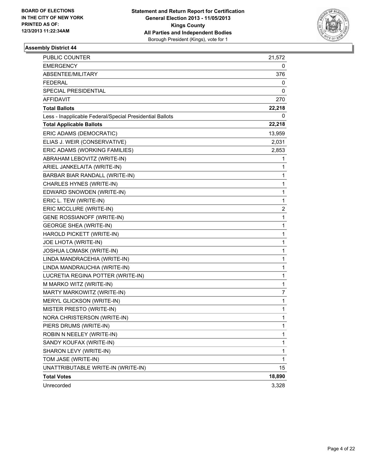

| <b>PUBLIC COUNTER</b>                                    | 21,572       |
|----------------------------------------------------------|--------------|
| EMERGENCY                                                | 0            |
| ABSENTEE/MILITARY                                        | 376          |
| <b>FEDERAL</b>                                           | 0            |
| SPECIAL PRESIDENTIAL                                     | 0            |
| <b>AFFIDAVIT</b>                                         | 270          |
| <b>Total Ballots</b>                                     | 22,218       |
| Less - Inapplicable Federal/Special Presidential Ballots | 0            |
| <b>Total Applicable Ballots</b>                          | 22,218       |
| ERIC ADAMS (DEMOCRATIC)                                  | 13,959       |
| ELIAS J. WEIR (CONSERVATIVE)                             | 2,031        |
| ERIC ADAMS (WORKING FAMILIES)                            | 2,853        |
| ABRAHAM LEBOVITZ (WRITE-IN)                              | 1            |
| ARIEL JANKELAITA (WRITE-IN)                              | 1            |
| BARBAR BIAR RANDALL (WRITE-IN)                           | 1            |
| CHARLES HYNES (WRITE-IN)                                 | 1            |
| EDWARD SNOWDEN (WRITE-IN)                                | 1            |
| ERIC L. TEW (WRITE-IN)                                   | 1            |
| ERIC MCCLURE (WRITE-IN)                                  | 2            |
| <b>GENE ROSSIANOFF (WRITE-IN)</b>                        | 1            |
| <b>GEORGE SHEA (WRITE-IN)</b>                            | 1            |
| HAROLD PICKETT (WRITE-IN)                                | 1            |
| JOE LHOTA (WRITE-IN)                                     | 1            |
| JOSHUA LOMASK (WRITE-IN)                                 | 1            |
| LINDA MANDRACEHIA (WRITE-IN)                             | 1            |
| LINDA MANDRAUCHIA (WRITE-IN)                             | 1            |
| LUCRETIA REGINA POTTER (WRITE-IN)                        | 1            |
| M MARKO WITZ (WRITE-IN)                                  | 1            |
| MARTY MARKOWITZ (WRITE-IN)                               | 7            |
| MERYL GLICKSON (WRITE-IN)                                | 1            |
| MISTER PRESTO (WRITE-IN)                                 | 1            |
| NORA CHRISTERSON (WRITE-IN)                              | 1            |
| PIERS DRUMS (WRITE-IN)                                   | 1            |
| ROBIN N NEELEY (WRITE-IN)                                | 1            |
| SANDY KOUFAX (WRITE-IN)                                  | 1            |
| SHARON LEVY (WRITE-IN)                                   | 1            |
| TOM JASE (WRITE-IN)                                      | $\mathbf{1}$ |
| UNATTRIBUTABLE WRITE-IN (WRITE-IN)                       | 15           |
| <b>Total Votes</b>                                       | 18,890       |
| Unrecorded                                               | 3,328        |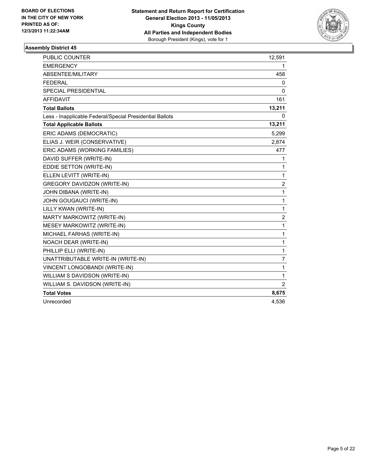

| <b>PUBLIC COUNTER</b>                                    | 12,591           |
|----------------------------------------------------------|------------------|
| <b>EMERGENCY</b>                                         | 1                |
| ABSENTEE/MILITARY                                        | 458              |
| <b>FEDERAL</b>                                           | 0                |
| <b>SPECIAL PRESIDENTIAL</b>                              | 0                |
| <b>AFFIDAVIT</b>                                         | 161              |
| <b>Total Ballots</b>                                     | 13,211           |
| Less - Inapplicable Federal/Special Presidential Ballots | 0                |
| <b>Total Applicable Ballots</b>                          | 13,211           |
| ERIC ADAMS (DEMOCRATIC)                                  | 5,299            |
| ELIAS J. WEIR (CONSERVATIVE)                             | 2,874            |
| ERIC ADAMS (WORKING FAMILIES)                            | 477              |
| DAVID SUFFER (WRITE-IN)                                  | 1                |
| EDDIE SETTON (WRITE-IN)                                  | 1                |
| ELLEN LEVITT (WRITE-IN)                                  | 1                |
| <b>GREGORY DAVIDZON (WRITE-IN)</b>                       | $\overline{2}$   |
| JOHN DIBANA (WRITE-IN)                                   | 1                |
| JOHN GOUGAUCI (WRITE-IN)                                 | 1                |
| LILLY KWAN (WRITE-IN)                                    | 1                |
| MARTY MARKOWITZ (WRITE-IN)                               | $\boldsymbol{2}$ |
| MESEY MARKOWITZ (WRITE-IN)                               | 1                |
| MICHAEL FARHAS (WRITE-IN)                                | 1                |
| NOACH DEAR (WRITE-IN)                                    | 1                |
| PHILLIP ELLI (WRITE-IN)                                  | 1                |
| UNATTRIBUTABLE WRITE-IN (WRITE-IN)                       | 7                |
| VINCENT LONGOBANDI (WRITE-IN)                            | 1                |
| WILLIAM S DAVIDSON (WRITE-IN)                            | $\mathbf{1}$     |
| WILLIAM S. DAVIDSON (WRITE-IN)                           | $\overline{2}$   |
| <b>Total Votes</b>                                       | 8,675            |
| Unrecorded                                               | 4,536            |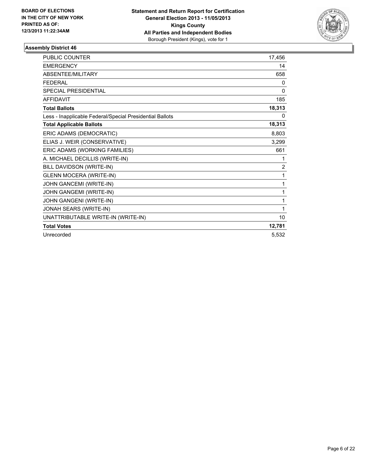

| <b>PUBLIC COUNTER</b>                                    | 17,456 |
|----------------------------------------------------------|--------|
| <b>EMERGENCY</b>                                         | 14     |
| <b>ABSENTEE/MILITARY</b>                                 | 658    |
| <b>FEDERAL</b>                                           | 0      |
| <b>SPECIAL PRESIDENTIAL</b>                              | 0      |
| <b>AFFIDAVIT</b>                                         | 185    |
| <b>Total Ballots</b>                                     | 18,313 |
| Less - Inapplicable Federal/Special Presidential Ballots | 0      |
| <b>Total Applicable Ballots</b>                          | 18,313 |
| ERIC ADAMS (DEMOCRATIC)                                  | 8,803  |
| ELIAS J. WEIR (CONSERVATIVE)                             | 3,299  |
| ERIC ADAMS (WORKING FAMILIES)                            | 661    |
| A. MICHAEL DECILLIS (WRITE-IN)                           | 1      |
| BILL DAVIDSON (WRITE-IN)                                 | 2      |
| <b>GLENN MOCERA (WRITE-IN)</b>                           | 1      |
| JOHN GANCEMI (WRITE-IN)                                  | 1      |
| JOHN GANGEMI (WRITE-IN)                                  | 1      |
| JOHN GANGENI (WRITE-IN)                                  | 1      |
| JONAH SEARS (WRITE-IN)                                   | 1      |
| UNATTRIBUTABLE WRITE-IN (WRITE-IN)                       | 10     |
| <b>Total Votes</b>                                       | 12,781 |
| Unrecorded                                               | 5.532  |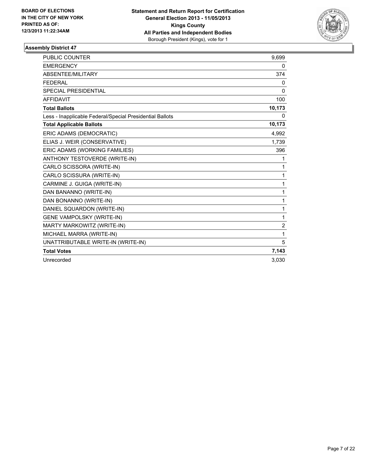

| <b>PUBLIC COUNTER</b>                                    | 9,699          |
|----------------------------------------------------------|----------------|
| <b>EMERGENCY</b>                                         | 0              |
| <b>ABSENTEE/MILITARY</b>                                 | 374            |
| <b>FEDERAL</b>                                           | 0              |
| <b>SPECIAL PRESIDENTIAL</b>                              | 0              |
| <b>AFFIDAVIT</b>                                         | 100            |
| <b>Total Ballots</b>                                     | 10,173         |
| Less - Inapplicable Federal/Special Presidential Ballots | 0              |
| <b>Total Applicable Ballots</b>                          | 10,173         |
| ERIC ADAMS (DEMOCRATIC)                                  | 4,992          |
| ELIAS J. WEIR (CONSERVATIVE)                             | 1,739          |
| ERIC ADAMS (WORKING FAMILIES)                            | 396            |
| ANTHONY TESTOVERDE (WRITE-IN)                            | 1              |
| CARLO SCISSORA (WRITE-IN)                                | 1              |
| CARLO SCISSURA (WRITE-IN)                                | 1              |
| CARMINE J. GUIGA (WRITE-IN)                              | 1              |
| DAN BANANNO (WRITE-IN)                                   | 1              |
| DAN BONANNO (WRITE-IN)                                   | 1              |
| DANIEL SQUARDON (WRITE-IN)                               | 1              |
| <b>GENE VAMPOLSKY (WRITE-IN)</b>                         | 1              |
| MARTY MARKOWITZ (WRITE-IN)                               | $\overline{2}$ |
| MICHAEL MARRA (WRITE-IN)                                 | 1              |
| UNATTRIBUTABLE WRITE-IN (WRITE-IN)                       | 5              |
| <b>Total Votes</b>                                       | 7,143          |
| Unrecorded                                               | 3.030          |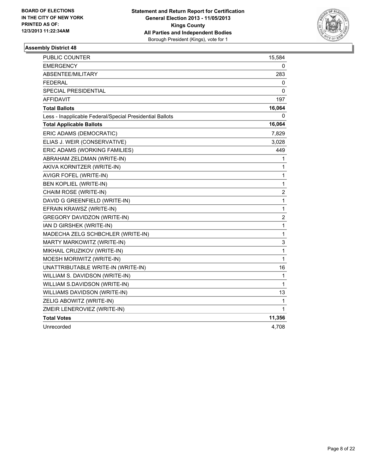

| PUBLIC COUNTER                                           | 15,584           |
|----------------------------------------------------------|------------------|
| <b>EMERGENCY</b>                                         | 0                |
| ABSENTEE/MILITARY                                        | 283              |
| <b>FEDERAL</b>                                           | 0                |
| SPECIAL PRESIDENTIAL                                     | 0                |
| <b>AFFIDAVIT</b>                                         | 197              |
| <b>Total Ballots</b>                                     | 16,064           |
| Less - Inapplicable Federal/Special Presidential Ballots | 0                |
| <b>Total Applicable Ballots</b>                          | 16,064           |
| ERIC ADAMS (DEMOCRATIC)                                  | 7,829            |
| ELIAS J. WEIR (CONSERVATIVE)                             | 3,028            |
| ERIC ADAMS (WORKING FAMILIES)                            | 449              |
| ABRAHAM ZELDMAN (WRITE-IN)                               | 1                |
| AKIVA KORNITZER (WRITE-IN)                               | 1                |
| AVIGR FOFEL (WRITE-IN)                                   | 1                |
| BEN KOPLIEL (WRITE-IN)                                   | 1                |
| CHAIM ROSE (WRITE-IN)                                    | 2                |
| DAVID G GREENFIELD (WRITE-IN)                            | 1                |
| EFRAIN KRAWSZ (WRITE-IN)                                 | 1                |
| <b>GREGORY DAVIDZON (WRITE-IN)</b>                       | $\boldsymbol{2}$ |
| IAN D GIRSHEK (WRITE-IN)                                 | 1                |
| MADECHA ZELG SCHBCHLER (WRITE-IN)                        | 1                |
| MARTY MARKOWITZ (WRITE-IN)                               | 3                |
| MIKHAIL CRUZIKOV (WRITE-IN)                              | 1                |
| MOESH MORIWITZ (WRITE-IN)                                | 1                |
| UNATTRIBUTABLE WRITE-IN (WRITE-IN)                       | 16               |
| WILLIAM S. DAVIDSON (WRITE-IN)                           | 1                |
| WILLIAM S.DAVIDSON (WRITE-IN)                            | 1                |
| WILLIAMS DAVIDSON (WRITE-IN)                             | 13               |
| ZELIG ABOWITZ (WRITE-IN)                                 | 1                |
| ZMEIR LENEROVIEZ (WRITE-IN)                              | 1                |
| <b>Total Votes</b>                                       | 11,356           |
| Unrecorded                                               | 4,708            |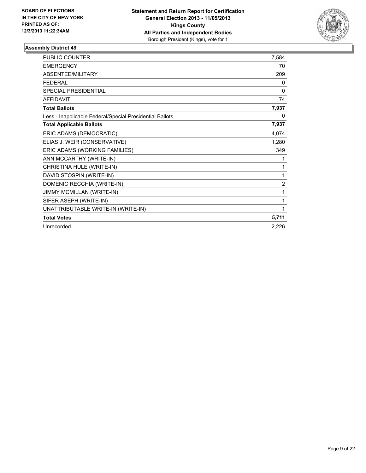

| PUBLIC COUNTER                                           | 7,584          |
|----------------------------------------------------------|----------------|
| <b>EMERGENCY</b>                                         | 70             |
| <b>ABSENTEE/MILITARY</b>                                 | 209            |
| <b>FEDERAL</b>                                           | 0              |
| <b>SPECIAL PRESIDENTIAL</b>                              | 0              |
| <b>AFFIDAVIT</b>                                         | 74             |
| <b>Total Ballots</b>                                     | 7,937          |
| Less - Inapplicable Federal/Special Presidential Ballots | 0              |
| <b>Total Applicable Ballots</b>                          | 7,937          |
| ERIC ADAMS (DEMOCRATIC)                                  | 4,074          |
| ELIAS J. WEIR (CONSERVATIVE)                             | 1,280          |
| ERIC ADAMS (WORKING FAMILIES)                            | 349            |
| ANN MCCARTHY (WRITE-IN)                                  | 1              |
| CHRISTINA HULE (WRITE-IN)                                | 1              |
| DAVID STOSPIN (WRITE-IN)                                 | 1              |
| DOMENIC RECCHIA (WRITE-IN)                               | $\overline{2}$ |
| JIMMY MCMILLAN (WRITE-IN)                                | 1              |
| SIFER ASEPH (WRITE-IN)                                   | 1              |
| UNATTRIBUTABLE WRITE-IN (WRITE-IN)                       | 1              |
| <b>Total Votes</b>                                       | 5,711          |
| Unrecorded                                               | 2,226          |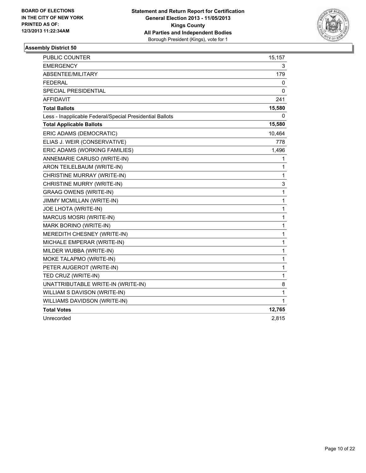

| <b>PUBLIC COUNTER</b>                                    | 15,157       |
|----------------------------------------------------------|--------------|
| <b>EMERGENCY</b>                                         | 3            |
| ABSENTEE/MILITARY                                        | 179          |
| <b>FEDERAL</b>                                           | 0            |
| <b>SPECIAL PRESIDENTIAL</b>                              | 0            |
| <b>AFFIDAVIT</b>                                         | 241          |
| <b>Total Ballots</b>                                     | 15,580       |
| Less - Inapplicable Federal/Special Presidential Ballots | 0            |
| <b>Total Applicable Ballots</b>                          | 15,580       |
| ERIC ADAMS (DEMOCRATIC)                                  | 10,464       |
| ELIAS J. WEIR (CONSERVATIVE)                             | 778          |
| ERIC ADAMS (WORKING FAMILIES)                            | 1,496        |
| ANNEMARIE CARUSO (WRITE-IN)                              | 1            |
| ARON TEILELBAUM (WRITE-IN)                               | 1            |
| CHRISTINE MURRAY (WRITE-IN)                              | 1            |
| CHRISTINE MURRY (WRITE-IN)                               | 3            |
| <b>GRAAG OWENS (WRITE-IN)</b>                            | 1            |
| <b>JIMMY MCMILLAN (WRITE-IN)</b>                         | 1            |
| JOE LHOTA (WRITE-IN)                                     | $\mathbf{1}$ |
| MARCUS MOSRI (WRITE-IN)                                  | 1            |
| MARK BORINO (WRITE-IN)                                   | 1            |
| MEREDITH CHESNEY (WRITE-IN)                              | 1            |
| MICHALE EMPERAR (WRITE-IN)                               | 1            |
| MILDER WUBBA (WRITE-IN)                                  | 1            |
| MOKE TALAPMO (WRITE-IN)                                  | 1            |
| PETER AUGEROT (WRITE-IN)                                 | 1            |
| TED CRUZ (WRITE-IN)                                      | 1            |
| UNATTRIBUTABLE WRITE-IN (WRITE-IN)                       | 8            |
| WILLIAM S DAVISON (WRITE-IN)                             | 1            |
| WILLIAMS DAVIDSON (WRITE-IN)                             | 1            |
| <b>Total Votes</b>                                       | 12,765       |
| Unrecorded                                               | 2,815        |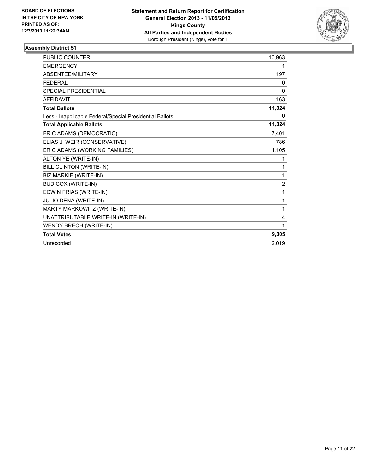

| <b>PUBLIC COUNTER</b>                                    | 10,963         |
|----------------------------------------------------------|----------------|
| <b>EMERGENCY</b>                                         | 1              |
| ABSENTEE/MILITARY                                        | 197            |
| <b>FEDERAL</b>                                           | 0              |
| <b>SPECIAL PRESIDENTIAL</b>                              | 0              |
| <b>AFFIDAVIT</b>                                         | 163            |
| <b>Total Ballots</b>                                     | 11,324         |
| Less - Inapplicable Federal/Special Presidential Ballots | 0              |
| <b>Total Applicable Ballots</b>                          | 11,324         |
| ERIC ADAMS (DEMOCRATIC)                                  | 7,401          |
| ELIAS J. WEIR (CONSERVATIVE)                             | 786            |
| ERIC ADAMS (WORKING FAMILIES)                            | 1,105          |
| ALTON YE (WRITE-IN)                                      | 1              |
| BILL CLINTON (WRITE-IN)                                  | 1              |
| BIZ MARKIE (WRITE-IN)                                    | 1              |
| <b>BUD COX (WRITE-IN)</b>                                | $\overline{2}$ |
| EDWIN FRIAS (WRITE-IN)                                   | 1              |
| JULIO DENA (WRITE-IN)                                    | 1              |
| MARTY MARKOWITZ (WRITE-IN)                               | 1              |
| UNATTRIBUTABLE WRITE-IN (WRITE-IN)                       | 4              |
| WENDY BRECH (WRITE-IN)                                   | 1              |
| <b>Total Votes</b>                                       | 9,305          |
| Unrecorded                                               | 2,019          |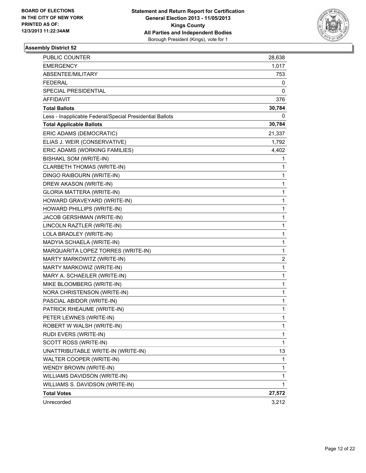

| <b>PUBLIC COUNTER</b>                                    | 28,638 |
|----------------------------------------------------------|--------|
| <b>EMERGENCY</b>                                         | 1,017  |
| ABSENTEE/MILITARY                                        | 753    |
| FEDERAL                                                  | 0      |
| SPECIAL PRESIDENTIAL                                     | 0      |
| AFFIDAVIT                                                | 376    |
| <b>Total Ballots</b>                                     | 30,784 |
| Less - Inapplicable Federal/Special Presidential Ballots | 0      |
| <b>Total Applicable Ballots</b>                          | 30,784 |
| ERIC ADAMS (DEMOCRATIC)                                  | 21,337 |
| ELIAS J. WEIR (CONSERVATIVE)                             | 1,792  |
| ERIC ADAMS (WORKING FAMILIES)                            | 4,402  |
| BISHAKL SOM (WRITE-IN)                                   | 1      |
| CLARBETH THOMAS (WRITE-IN)                               | 1      |
| DINGO RAIBOURN (WRITE-IN)                                | 1      |
| DREW AKASON (WRITE-IN)                                   | 1      |
| <b>GLORIA MATTERA (WRITE-IN)</b>                         | 1      |
| HOWARD GRAVEYARD (WRITE-IN)                              | 1      |
| HOWARD PHILLIPS (WRITE-IN)                               | 1      |
| JACOB GERSHMAN (WRITE-IN)                                | 1      |
| LINCOLN RAZTLER (WRITE-IN)                               | 1      |
| LOLA BRADLEY (WRITE-IN)                                  | 1      |
| MADYIA SCHAELA (WRITE-IN)                                | 1      |
| MARQUARITA LOPEZ TORRES (WRITE-IN)                       | 1      |
| MARTY MARKOWITZ (WRITE-IN)                               | 2      |
| MARTY MARKOWIZ (WRITE-IN)                                | 1      |
| MARY A. SCHAEILER (WRITE-IN)                             | 1      |
| MIKE BLOOMBERG (WRITE-IN)                                | 1      |
| NORA CHRISTENSON (WRITE-IN)                              | 1      |
| PASCIAL ABIDOR (WRITE-IN)                                | 1      |
| PATRICK RHEAUME (WRITE-IN)                               | 1      |
| PETER LEWNES (WRITE-IN)                                  | 1      |
| ROBERT W WALSH (WRITE-IN)                                | 1      |
| RUDI EVERS (WRITE-IN)                                    | 1      |
| SCOTT ROSS (WRITE-IN)                                    | 1      |
| UNATTRIBUTABLE WRITE-IN (WRITE-IN)                       | 13     |
| WALTER COOPER (WRITE-IN)                                 | 1      |
| WENDY BROWN (WRITE-IN)                                   | 1      |
| WILLIAMS DAVIDSON (WRITE-IN)                             | 1      |
| WILLIAMS S. DAVIDSON (WRITE-IN)                          | 1      |
| <b>Total Votes</b>                                       | 27,572 |
| Unrecorded                                               | 3,212  |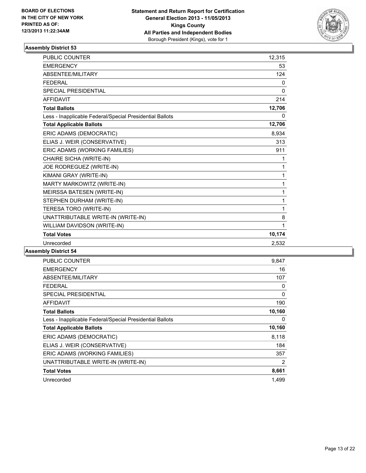

| <b>PUBLIC COUNTER</b>                                    | 12,315       |
|----------------------------------------------------------|--------------|
| <b>EMERGENCY</b>                                         | 53           |
| ABSENTEE/MILITARY                                        | 124          |
| <b>FEDERAL</b>                                           | 0            |
| <b>SPECIAL PRESIDENTIAL</b>                              | $\mathbf{0}$ |
| <b>AFFIDAVIT</b>                                         | 214          |
| <b>Total Ballots</b>                                     | 12,706       |
| Less - Inapplicable Federal/Special Presidential Ballots | 0            |
| <b>Total Applicable Ballots</b>                          | 12,706       |
| ERIC ADAMS (DEMOCRATIC)                                  | 8,934        |
| ELIAS J. WEIR (CONSERVATIVE)                             | 313          |
| ERIC ADAMS (WORKING FAMILIES)                            | 911          |
| CHAIRE SICHA (WRITE-IN)                                  | 1            |
| JOE RODREGUEZ (WRITE-IN)                                 | 1            |
| KIMANI GRAY (WRITE-IN)                                   | 1            |
| MARTY MARKOWITZ (WRITE-IN)                               | 1            |
| MEIRSSA BATESEN (WRITE-IN)                               | 1            |
| STEPHEN DURHAM (WRITE-IN)                                | 1            |
| TERESA TORO (WRITE-IN)                                   | 1            |
| UNATTRIBUTABLE WRITE-IN (WRITE-IN)                       | 8            |
| WILLIAM DAVIDSON (WRITE-IN)                              | 1            |
| <b>Total Votes</b>                                       | 10,174       |
| Unrecorded                                               | 2,532        |

| PUBLIC COUNTER                                           | 9,847  |
|----------------------------------------------------------|--------|
| <b>EMERGENCY</b>                                         | 16     |
| ABSENTEE/MILITARY                                        | 107    |
| <b>FEDERAL</b>                                           | 0      |
| SPECIAL PRESIDENTIAL                                     | 0      |
| <b>AFFIDAVIT</b>                                         | 190    |
| <b>Total Ballots</b>                                     | 10,160 |
| Less - Inapplicable Federal/Special Presidential Ballots | 0      |
| <b>Total Applicable Ballots</b>                          | 10,160 |
| ERIC ADAMS (DEMOCRATIC)                                  | 8,118  |
| ELIAS J. WEIR (CONSERVATIVE)                             | 184    |
| ERIC ADAMS (WORKING FAMILIES)                            | 357    |
| UNATTRIBUTABLE WRITE-IN (WRITE-IN)                       | 2      |
| <b>Total Votes</b>                                       | 8,661  |
| Unrecorded                                               | 1,499  |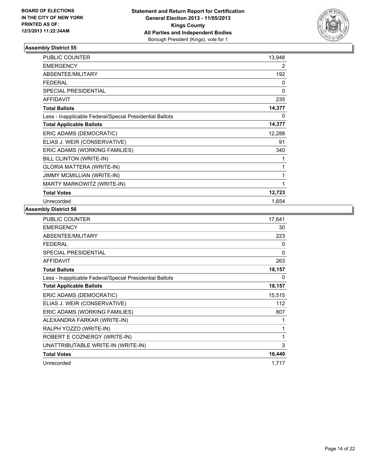

| PUBLIC COUNTER                                           | 13,948 |
|----------------------------------------------------------|--------|
| <b>EMERGENCY</b>                                         | 2      |
| ABSENTEE/MILITARY                                        | 192    |
| <b>FEDERAL</b>                                           | 0      |
| SPECIAL PRESIDENTIAL                                     | 0      |
| <b>AFFIDAVIT</b>                                         | 235    |
| <b>Total Ballots</b>                                     | 14,377 |
| Less - Inapplicable Federal/Special Presidential Ballots | 0      |
| <b>Total Applicable Ballots</b>                          | 14,377 |
| ERIC ADAMS (DEMOCRATIC)                                  | 12,288 |
| ELIAS J. WEIR (CONSERVATIVE)                             | 91     |
| ERIC ADAMS (WORKING FAMILIES)                            | 340    |
| BILL CLINTON (WRITE-IN)                                  | 1      |
| <b>GLORIA MATTERA (WRITE-IN)</b>                         | 1      |
| <b>JIMMY MCMILLIAN (WRITE-IN)</b>                        | 1      |
| MARTY MARKOWITZ (WRITE-IN)                               | 1      |
| <b>Total Votes</b>                                       | 12,723 |
| Unrecorded                                               | 1,654  |

| PUBLIC COUNTER                                           | 17,641 |
|----------------------------------------------------------|--------|
| <b>EMERGENCY</b>                                         | 30     |
| ABSENTEE/MILITARY                                        | 223    |
| <b>FEDERAL</b>                                           | 0      |
| <b>SPECIAL PRESIDENTIAL</b>                              | 0      |
| <b>AFFIDAVIT</b>                                         | 263    |
| <b>Total Ballots</b>                                     | 18,157 |
| Less - Inapplicable Federal/Special Presidential Ballots | 0      |
| <b>Total Applicable Ballots</b>                          | 18,157 |
| ERIC ADAMS (DEMOCRATIC)                                  | 15,515 |
| ELIAS J. WEIR (CONSERVATIVE)                             | 112    |
| ERIC ADAMS (WORKING FAMILIES)                            | 807    |
| ALEXANDRA FARKAR (WRITE-IN)                              | 1      |
| RALPH YOZZO (WRITE-IN)                                   | 1      |
| ROBERT E COZNERGY (WRITE-IN)                             | 1      |
| UNATTRIBUTABLE WRITE-IN (WRITE-IN)                       | 3      |
| <b>Total Votes</b>                                       | 16,440 |
| Unrecorded                                               | 1,717  |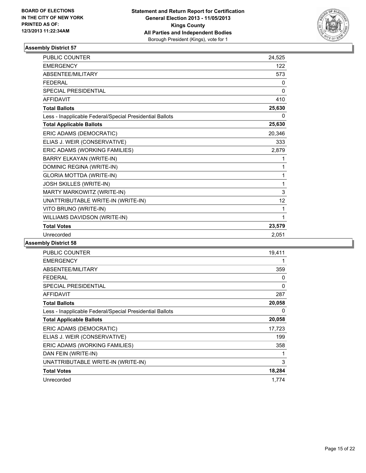

| <b>PUBLIC COUNTER</b>                                    | 24,525 |
|----------------------------------------------------------|--------|
| <b>EMERGENCY</b>                                         | 122    |
| <b>ABSENTEE/MILITARY</b>                                 | 573    |
| <b>FEDERAL</b>                                           | 0      |
| <b>SPECIAL PRESIDENTIAL</b>                              | 0      |
| <b>AFFIDAVIT</b>                                         | 410    |
| <b>Total Ballots</b>                                     | 25,630 |
| Less - Inapplicable Federal/Special Presidential Ballots | 0      |
| <b>Total Applicable Ballots</b>                          | 25,630 |
| ERIC ADAMS (DEMOCRATIC)                                  | 20,346 |
| ELIAS J. WEIR (CONSERVATIVE)                             | 333    |
| ERIC ADAMS (WORKING FAMILIES)                            | 2,879  |
| BARRY ELKAYAN (WRITE-IN)                                 | 1      |
| DOMINIC REGINA (WRITE-IN)                                | 1      |
| <b>GLORIA MOTTDA (WRITE-IN)</b>                          | 1      |
| JOSH SKILLES (WRITE-IN)                                  | 1      |
| MARTY MARKOWITZ (WRITE-IN)                               | 3      |
| UNATTRIBUTABLE WRITE-IN (WRITE-IN)                       | 12     |
| VITO BRUNO (WRITE-IN)                                    | 1      |
| WILLIAMS DAVIDSON (WRITE-IN)                             | 1      |
| <b>Total Votes</b>                                       | 23,579 |
| Unrecorded                                               | 2.051  |

| <b>PUBLIC COUNTER</b>                                    | 19,411 |
|----------------------------------------------------------|--------|
| <b>EMERGENCY</b>                                         |        |
| ABSENTEE/MILITARY                                        | 359    |
| <b>FEDERAL</b>                                           | 0      |
| <b>SPECIAL PRESIDENTIAL</b>                              | 0      |
| <b>AFFIDAVIT</b>                                         | 287    |
| <b>Total Ballots</b>                                     | 20,058 |
| Less - Inapplicable Federal/Special Presidential Ballots | 0      |
| <b>Total Applicable Ballots</b>                          | 20,058 |
| ERIC ADAMS (DEMOCRATIC)                                  | 17,723 |
| ELIAS J. WEIR (CONSERVATIVE)                             | 199    |
| ERIC ADAMS (WORKING FAMILIES)                            | 358    |
| DAN FEIN (WRITE-IN)                                      | 1      |
| UNATTRIBUTABLE WRITE-IN (WRITE-IN)                       | 3      |
| <b>Total Votes</b>                                       | 18,284 |
| Unrecorded                                               | 1,774  |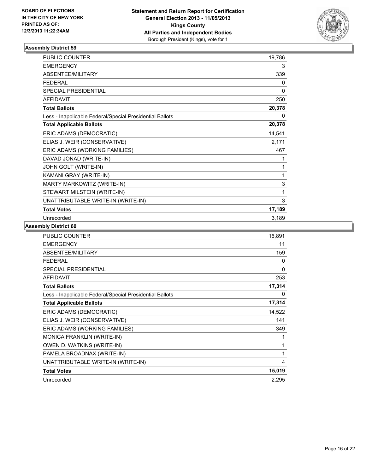

| PUBLIC COUNTER                                           | 19,786 |
|----------------------------------------------------------|--------|
| <b>EMERGENCY</b>                                         | 3      |
| ABSENTEE/MILITARY                                        | 339    |
| <b>FEDERAL</b>                                           | 0      |
| <b>SPECIAL PRESIDENTIAL</b>                              | 0      |
| <b>AFFIDAVIT</b>                                         | 250    |
| <b>Total Ballots</b>                                     | 20,378 |
| Less - Inapplicable Federal/Special Presidential Ballots | 0      |
| <b>Total Applicable Ballots</b>                          | 20,378 |
| ERIC ADAMS (DEMOCRATIC)                                  | 14,541 |
| ELIAS J. WEIR (CONSERVATIVE)                             | 2,171  |
| ERIC ADAMS (WORKING FAMILIES)                            | 467    |
| DAVAD JONAD (WRITE-IN)                                   | 1      |
| JOHN GOLT (WRITE-IN)                                     | 1      |
| KAMANI GRAY (WRITE-IN)                                   | 1      |
| MARTY MARKOWITZ (WRITE-IN)                               | 3      |
| STEWART MILSTEIN (WRITE-IN)                              | 1      |
| UNATTRIBUTABLE WRITE-IN (WRITE-IN)                       | 3      |
| <b>Total Votes</b>                                       | 17,189 |
| Unrecorded                                               | 3,189  |

| PUBLIC COUNTER                                           | 16,891 |
|----------------------------------------------------------|--------|
| <b>EMERGENCY</b>                                         | 11     |
| <b>ABSENTEE/MILITARY</b>                                 | 159    |
| <b>FEDERAL</b>                                           | 0      |
| <b>SPECIAL PRESIDENTIAL</b>                              | 0      |
| <b>AFFIDAVIT</b>                                         | 253    |
| <b>Total Ballots</b>                                     | 17,314 |
| Less - Inapplicable Federal/Special Presidential Ballots | 0      |
| <b>Total Applicable Ballots</b>                          | 17,314 |
| ERIC ADAMS (DEMOCRATIC)                                  | 14,522 |
| ELIAS J. WEIR (CONSERVATIVE)                             | 141    |
| ERIC ADAMS (WORKING FAMILIES)                            | 349    |
| <b>MONICA FRANKLIN (WRITE-IN)</b>                        | 1      |
| OWEN D. WATKINS (WRITE-IN)                               | 1      |
| PAMELA BROADNAX (WRITE-IN)                               | 1      |
| UNATTRIBUTABLE WRITE-IN (WRITE-IN)                       | 4      |
| <b>Total Votes</b>                                       | 15,019 |
| Unrecorded                                               | 2,295  |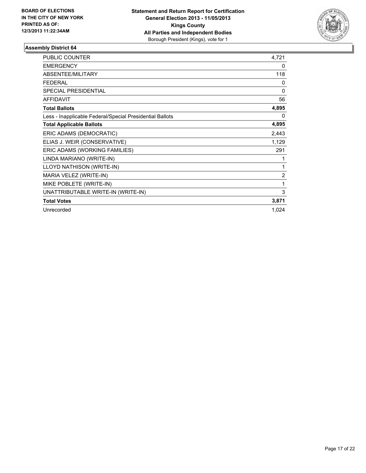

| PUBLIC COUNTER                                           | 4,721 |
|----------------------------------------------------------|-------|
| <b>EMERGENCY</b>                                         | 0     |
| <b>ABSENTEE/MILITARY</b>                                 | 118   |
| <b>FEDERAL</b>                                           | 0     |
| SPECIAL PRESIDENTIAL                                     | 0     |
| <b>AFFIDAVIT</b>                                         | 56    |
| <b>Total Ballots</b>                                     | 4,895 |
| Less - Inapplicable Federal/Special Presidential Ballots | 0     |
| <b>Total Applicable Ballots</b>                          | 4,895 |
| ERIC ADAMS (DEMOCRATIC)                                  | 2,443 |
| ELIAS J. WEIR (CONSERVATIVE)                             | 1,129 |
| ERIC ADAMS (WORKING FAMILIES)                            | 291   |
| LINDA MARIANO (WRITE-IN)                                 | 1     |
| LLOYD NATHISON (WRITE-IN)                                | 1     |
| MARIA VELEZ (WRITE-IN)                                   | 2     |
| MIKE POBLETE (WRITE-IN)                                  | 1     |
| UNATTRIBUTABLE WRITE-IN (WRITE-IN)                       | 3     |
| <b>Total Votes</b>                                       | 3,871 |
| Unrecorded                                               | 1,024 |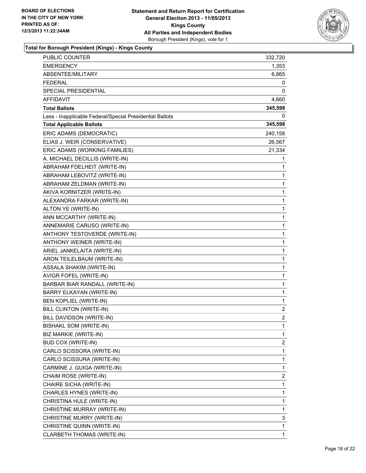

| PUBLIC COUNTER                                           | 332,720 |
|----------------------------------------------------------|---------|
| <b>EMERGENCY</b>                                         | 1,353   |
| ABSENTEE/MILITARY                                        | 6,865   |
| <b>FEDERAL</b>                                           | 0       |
| SPECIAL PRESIDENTIAL                                     | 0       |
| AFFIDAVIT                                                | 4,660   |
| <b>Total Ballots</b>                                     | 345,598 |
| Less - Inapplicable Federal/Special Presidential Ballots | 0       |
| <b>Total Applicable Ballots</b>                          | 345,598 |
| ERIC ADAMS (DEMOCRATIC)                                  | 240,158 |
| ELIAS J. WEIR (CONSERVATIVE)                             | 26,567  |
| ERIC ADAMS (WORKING FAMILIES)                            | 21,334  |
| A. MICHAEL DECILLIS (WRITE-IN)                           | 1       |
| ABRAHAM FDELHEIT (WRITE-IN)                              | 1       |
| ABRAHAM LEBOVITZ (WRITE-IN)                              | 1       |
| ABRAHAM ZELDMAN (WRITE-IN)                               | 1       |
| AKIVA KORNITZER (WRITE-IN)                               | 1       |
| ALEXANDRA FARKAR (WRITE-IN)                              | 1       |
| ALTON YE (WRITE-IN)                                      | 1       |
| ANN MCCARTHY (WRITE-IN)                                  | 1       |
| ANNEMARIE CARUSO (WRITE-IN)                              | 1       |
| ANTHONY TESTOVERDE (WRITE-IN)                            | 1       |
| ANTHONY WEINER (WRITE-IN)                                | 1       |
| ARIEL JANKELAITA (WRITE-IN)                              | 1       |
| ARON TEILELBAUM (WRITE-IN)                               | 1       |
| ASSALA SHAKIM (WRITE-IN)                                 | 1       |
| AVIGR FOFEL (WRITE-IN)                                   | 1       |
| BARBAR BIAR RANDALL (WRITE-IN)                           | 1       |
| <b>BARRY ELKAYAN (WRITE-IN)</b>                          | 1       |
| BEN KOPLIEL (WRITE-IN)                                   | 1       |
| BILL CLINTON (WRITE-IN)                                  | 2       |
| BILL DAVIDSON (WRITE-IN)                                 | 2       |
| <b>BISHAKL SOM (WRITE-IN)</b>                            | 1       |
| BIZ MARKIE (WRITE-IN)                                    | 1       |
| <b>BUD COX (WRITE-IN)</b>                                | 2       |
| CARLO SCISSORA (WRITE-IN)                                | 1       |
| CARLO SCISSURA (WRITE-IN)                                | 1       |
| CARMINE J. GUIGA (WRITE-IN)                              | 1       |
| CHAIM ROSE (WRITE-IN)                                    | 2       |
| CHAIRE SICHA (WRITE-IN)                                  | 1       |
| CHARLES HYNES (WRITE-IN)                                 | 1       |
| CHRISTINA HULE (WRITE-IN)                                | 1       |
| CHRISTINE MURRAY (WRITE-IN)                              | 1       |
| CHRISTINE MURRY (WRITE-IN)                               | 3       |
| CHRISTINE QUINN (WRITE-IN)                               | 1       |
| CLARBETH THOMAS (WRITE-IN)                               | 1       |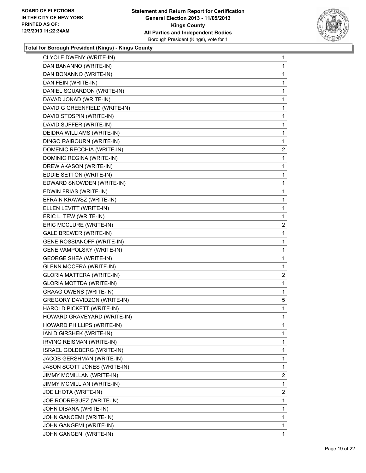

| CLYOLE DWENY (WRITE-IN)          | 1              |
|----------------------------------|----------------|
| DAN BANANNO (WRITE-IN)           | 1              |
| DAN BONANNO (WRITE-IN)           | 1              |
| DAN FEIN (WRITE-IN)              | 1              |
| DANIEL SQUARDON (WRITE-IN)       | 1              |
| DAVAD JONAD (WRITE-IN)           | 1              |
| DAVID G GREENFIELD (WRITE-IN)    | 1              |
| DAVID STOSPIN (WRITE-IN)         | 1              |
| DAVID SUFFER (WRITE-IN)          | 1              |
| DEIDRA WILLIAMS (WRITE-IN)       | 1              |
| DINGO RAIBOURN (WRITE-IN)        | 1              |
| DOMENIC RECCHIA (WRITE-IN)       | 2              |
| DOMINIC REGINA (WRITE-IN)        | 1              |
| DREW AKASON (WRITE-IN)           | 1              |
| EDDIE SETTON (WRITE-IN)          | 1              |
| EDWARD SNOWDEN (WRITE-IN)        | 1              |
| EDWIN FRIAS (WRITE-IN)           | 1              |
| EFRAIN KRAWSZ (WRITE-IN)         | 1              |
| ELLEN LEVITT (WRITE-IN)          | 1              |
| ERIC L. TEW (WRITE-IN)           | 1              |
| ERIC MCCLURE (WRITE-IN)          | 2              |
| GALE BREWER (WRITE-IN)           | 1              |
| GENE ROSSIANOFF (WRITE-IN)       | 1              |
| <b>GENE VAMPOLSKY (WRITE-IN)</b> | 1              |
| <b>GEORGE SHEA (WRITE-IN)</b>    | 1              |
| <b>GLENN MOCERA (WRITE-IN)</b>   | 1              |
| <b>GLORIA MATTERA (WRITE-IN)</b> | 2              |
| <b>GLORIA MOTTDA (WRITE-IN)</b>  | 1              |
| <b>GRAAG OWENS (WRITE-IN)</b>    | $\mathbf{1}$   |
| GREGORY DAVIDZON (WRITE-IN)      | 5              |
| HAROLD PICKETT (WRITE-IN)        | 1              |
| HOWARD GRAVEYARD (WRITE-IN)      | 1              |
| HOWARD PHILLIPS (WRITE-IN)       | 1              |
| IAN D GIRSHEK (WRITE-IN)         | 1              |
| IRVING REISMAN (WRITE-IN)        | 1              |
| ISRAEL GOLDBERG (WRITE-IN)       | 1              |
| JACOB GERSHMAN (WRITE-IN)        | 1              |
| JASON SCOTT JONES (WRITE-IN)     | 1              |
| JIMMY MCMILLAN (WRITE-IN)        | 2              |
| JIMMY MCMILLIAN (WRITE-IN)       | 1              |
| JOE LHOTA (WRITE-IN)             | $\overline{2}$ |
| JOE RODREGUEZ (WRITE-IN)         | 1              |
| JOHN DIBANA (WRITE-IN)           | 1              |
| JOHN GANCEMI (WRITE-IN)          | 1              |
| JOHN GANGEMI (WRITE-IN)          | 1              |
| JOHN GANGENI (WRITE-IN)          | 1              |
|                                  |                |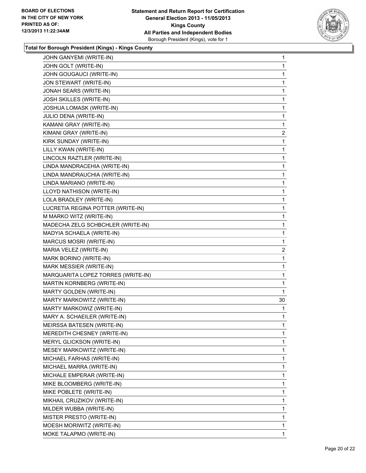

| JOHN GANYEMI (WRITE-IN)            | 1              |
|------------------------------------|----------------|
| JOHN GOLT (WRITE-IN)               | 1              |
| JOHN GOUGAUCI (WRITE-IN)           | 1              |
| JON STEWART (WRITE-IN)             | 1              |
| JONAH SEARS (WRITE-IN)             | 1              |
| JOSH SKILLES (WRITE-IN)            | 1              |
| JOSHUA LOMASK (WRITE-IN)           | 1              |
| JULIO DENA (WRITE-IN)              | 1              |
| KAMANI GRAY (WRITE-IN)             | 1              |
| KIMANI GRAY (WRITE-IN)             | $\overline{2}$ |
| KIRK SUNDAY (WRITE-IN)             | 1              |
| LILLY KWAN (WRITE-IN)              | 1              |
| LINCOLN RAZTLER (WRITE-IN)         | 1              |
| LINDA MANDRACEHIA (WRITE-IN)       | 1              |
| LINDA MANDRAUCHIA (WRITE-IN)       | 1              |
| LINDA MARIANO (WRITE-IN)           | 1              |
| LLOYD NATHISON (WRITE-IN)          | 1              |
| LOLA BRADLEY (WRITE-IN)            | 1              |
| LUCRETIA REGINA POTTER (WRITE-IN)  | 1              |
| M MARKO WITZ (WRITE-IN)            | 1              |
| MADECHA ZELG SCHBCHLER (WRITE-IN)  | 1              |
| MADYIA SCHAELA (WRITE-IN)          | 1              |
| MARCUS MOSRI (WRITE-IN)            | 1              |
| MARIA VELEZ (WRITE-IN)             | $\overline{2}$ |
| MARK BORINO (WRITE-IN)             | 1              |
| MARK MESSIER (WRITE-IN)            | 1              |
| MARQUARITA LOPEZ TORRES (WRITE-IN) | 1              |
| MARTIN KORNBERG (WRITE-IN)         | 1              |
| MARTY GOLDEN (WRITE-IN)            | 1              |
| MARTY MARKOWITZ (WRITE-IN)         | 30             |
| MARTY MARKOWIZ (WRITE-IN)          | 1              |
| MARY A. SCHAEILER (WRITE-IN)       | 1              |
| MEIRSSA BATESEN (WRITE-IN)         | 1              |
| MEREDITH CHESNEY (WRITE-IN)        | 1              |
| MERYL GLICKSON (WRITE-IN)          | 1              |
| MESEY MARKOWITZ (WRITE-IN)         | 1              |
| MICHAEL FARHAS (WRITE-IN)          | 1              |
| MICHAEL MARRA (WRITE-IN)           | 1              |
| MICHALE EMPERAR (WRITE-IN)         | 1              |
| MIKE BLOOMBERG (WRITE-IN)          | 1              |
| MIKE POBLETE (WRITE-IN)            | 1              |
| MIKHAIL CRUZIKOV (WRITE-IN)        | 1              |
| MILDER WUBBA (WRITE-IN)            | 1              |
| MISTER PRESTO (WRITE-IN)           | 1              |
| MOESH MORIWITZ (WRITE-IN)          | 1              |
| MOKE TALAPMO (WRITE-IN)            | 1              |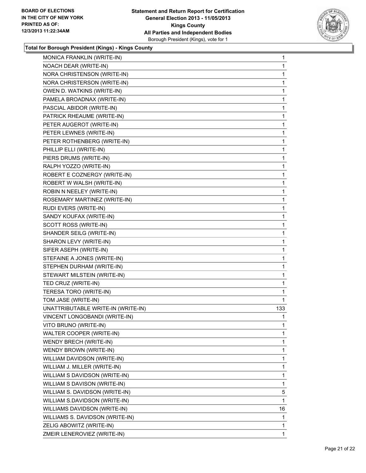

| MONICA FRANKLIN (WRITE-IN)         | 1            |
|------------------------------------|--------------|
| NOACH DEAR (WRITE-IN)              | 1            |
| NORA CHRISTENSON (WRITE-IN)        | 1            |
| NORA CHRISTERSON (WRITE-IN)        | 1            |
| OWEN D. WATKINS (WRITE-IN)         | 1            |
| PAMELA BROADNAX (WRITE-IN)         | 1            |
| PASCIAL ABIDOR (WRITE-IN)          | 1            |
| PATRICK RHEAUME (WRITE-IN)         | 1            |
| PETER AUGEROT (WRITE-IN)           | 1            |
| PETER LEWNES (WRITE-IN)            | 1            |
| PETER ROTHENBERG (WRITE-IN)        | 1            |
| PHILLIP ELLI (WRITE-IN)            | 1            |
| PIERS DRUMS (WRITE-IN)             | 1            |
| RALPH YOZZO (WRITE-IN)             | 1            |
| ROBERT E COZNERGY (WRITE-IN)       | 1            |
| ROBERT W WALSH (WRITE-IN)          | 1            |
| ROBIN N NEELEY (WRITE-IN)          | 1            |
| ROSEMARY MARTINEZ (WRITE-IN)       | 1            |
| RUDI EVERS (WRITE-IN)              | 1            |
| SANDY KOUFAX (WRITE-IN)            | 1            |
| SCOTT ROSS (WRITE-IN)              | 1            |
| SHANDER SEILG (WRITE-IN)           | 1            |
| SHARON LEVY (WRITE-IN)             | 1            |
| SIFER ASEPH (WRITE-IN)             | 1            |
| STEFAINE A JONES (WRITE-IN)        | 1            |
| STEPHEN DURHAM (WRITE-IN)          | 1            |
| STEWART MILSTEIN (WRITE-IN)        | 1            |
| TED CRUZ (WRITE-IN)                | 1            |
| TERESA TORO (WRITE-IN)             | 1            |
| TOM JASE (WRITE-IN)                | 1            |
| UNATTRIBUTABLE WRITE-IN (WRITE-IN) | 133          |
| VINCENT LONGOBANDI (WRITE-IN)      | 1            |
| VITO BRUNO (WRITE-IN)              | 1            |
| WALTER COOPER (WRITE-IN)           | 1            |
| WENDY BRECH (WRITE-IN)             | 1            |
| WENDY BROWN (WRITE-IN)             | 1            |
| WILLIAM DAVIDSON (WRITE-IN)        | 1            |
| WILLIAM J. MILLER (WRITE-IN)       | 1            |
| WILLIAM S DAVIDSON (WRITE-IN)      | 1            |
| WILLIAM S DAVISON (WRITE-IN)       | 1            |
| WILLIAM S. DAVIDSON (WRITE-IN)     | 5            |
| WILLIAM S.DAVIDSON (WRITE-IN)      | 1            |
| WILLIAMS DAVIDSON (WRITE-IN)       | 16           |
| WILLIAMS S. DAVIDSON (WRITE-IN)    | 1            |
| ZELIG ABOWITZ (WRITE-IN)           | 1            |
| ZMEIR LENEROVIEZ (WRITE-IN)        | $\mathbf{1}$ |